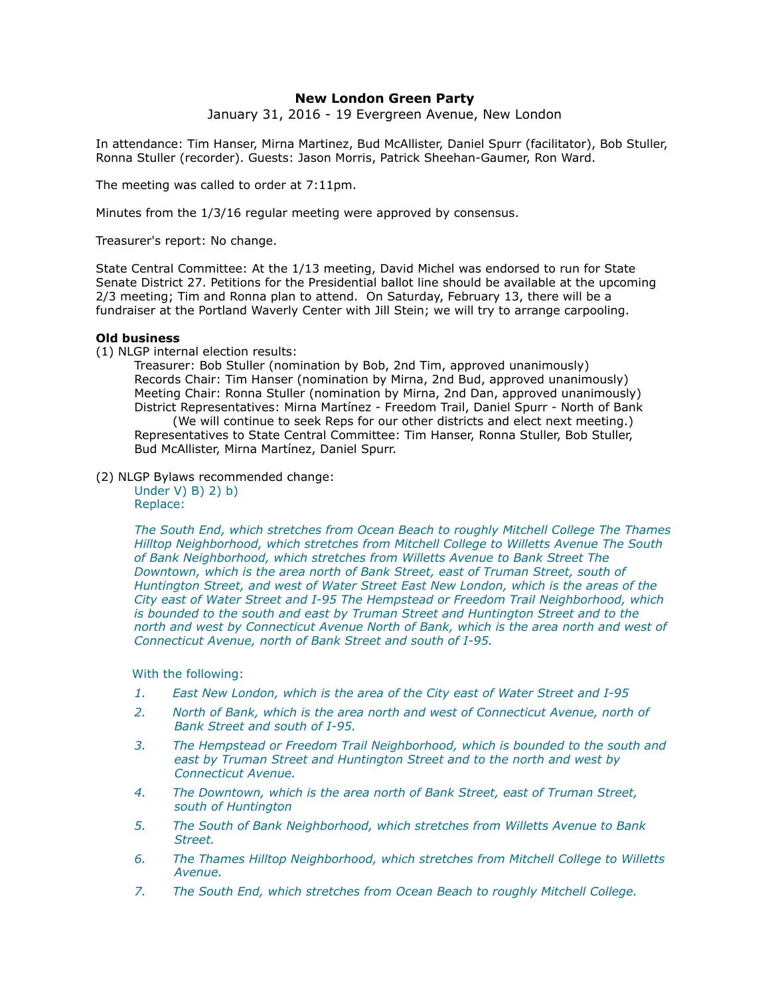# **New London Green Party**

January 31, 2016 - 19 Evergreen Avenue, New London

In attendance: Tim Hanser, Mirna Martinez, Bud McAllister, Daniel Spurr (facilitator), Bob Stuller, Ronna Stuller (recorder). Guests: Jason Morris, Patrick Sheehan-Gaumer, Ron Ward.

The meeting was called to order at 7:11pm.

Minutes from the 1/3/16 regular meeting were approved by consensus.

Treasurer's report: No change.

State Central Committee: At the 1/13 meeting, David Michel was endorsed to run for State Senate District 27. Petitions for the Presidential ballot line should be available at the upcoming 2/3 meeting; Tim and Ronna plan to attend. On Saturday, February 13, there will be a fundraiser at the Portland Waverly Center with Jill Stein; we will try to arrange carpooling.

## **Old business**

(1) NLGP internal election results:

Treasurer: Bob Stuller (nomination by Bob, 2nd Tim, approved unanimously) Records Chair: Tim Hanser (nomination by Mirna, 2nd Bud, approved unanimously) Meeting Chair: Ronna Stuller (nomination by Mirna, 2nd Dan, approved unanimously) District Representatives: Mirna Martínez - Freedom Trail, Daniel Spurr - North of Bank (We will continue to seek Reps for our other districts and elect next meeting.) Representatives to State Central Committee: Tim Hanser, Ronna Stuller, Bob Stuller, Bud McAllister, Mirna Martínez, Daniel Spurr.

(2) NLGP Bylaws recommended change:

Under V) B) 2) b) Replace:

*The South End, which stretches from Ocean Beach to roughly Mitchell College The Thames Hilltop Neighborhood, which stretches from Mitchell College to Willetts Avenue The South of Bank Neighborhood, which stretches from Willetts Avenue to Bank Street The Downtown, which is the area north of Bank Street, east of Truman Street, south of Huntington Street, and west of Water Street East New London, which is the areas of the City east of Water Street and I-95 The Hempstead or Freedom Trail Neighborhood, which is bounded to the south and east by Truman Street and Huntington Street and to the north and west by Connecticut Avenue North of Bank, which is the area north and west of Connecticut Avenue, north of Bank Street and south of I-95.*

With the following:

- *1. East New London, which is the area of the City east of Water Street and I-95*
- *2. North of Bank, which is the area north and west of Connecticut Avenue, north of Bank Street and south of I-95.*
- *3. The Hempstead or Freedom Trail Neighborhood, which is bounded to the south and east by Truman Street and Huntington Street and to the north and west by Connecticut Avenue.*
- *4. The Downtown, which is the area north of Bank Street, east of Truman Street, south of Huntington*
- *5. The South of Bank Neighborhood, which stretches from Willetts Avenue to Bank Street.*
- *6. The Thames Hilltop Neighborhood, which stretches from Mitchell College to Willetts Avenue.*
- *7. The South End, which stretches from Ocean Beach to roughly Mitchell College.*